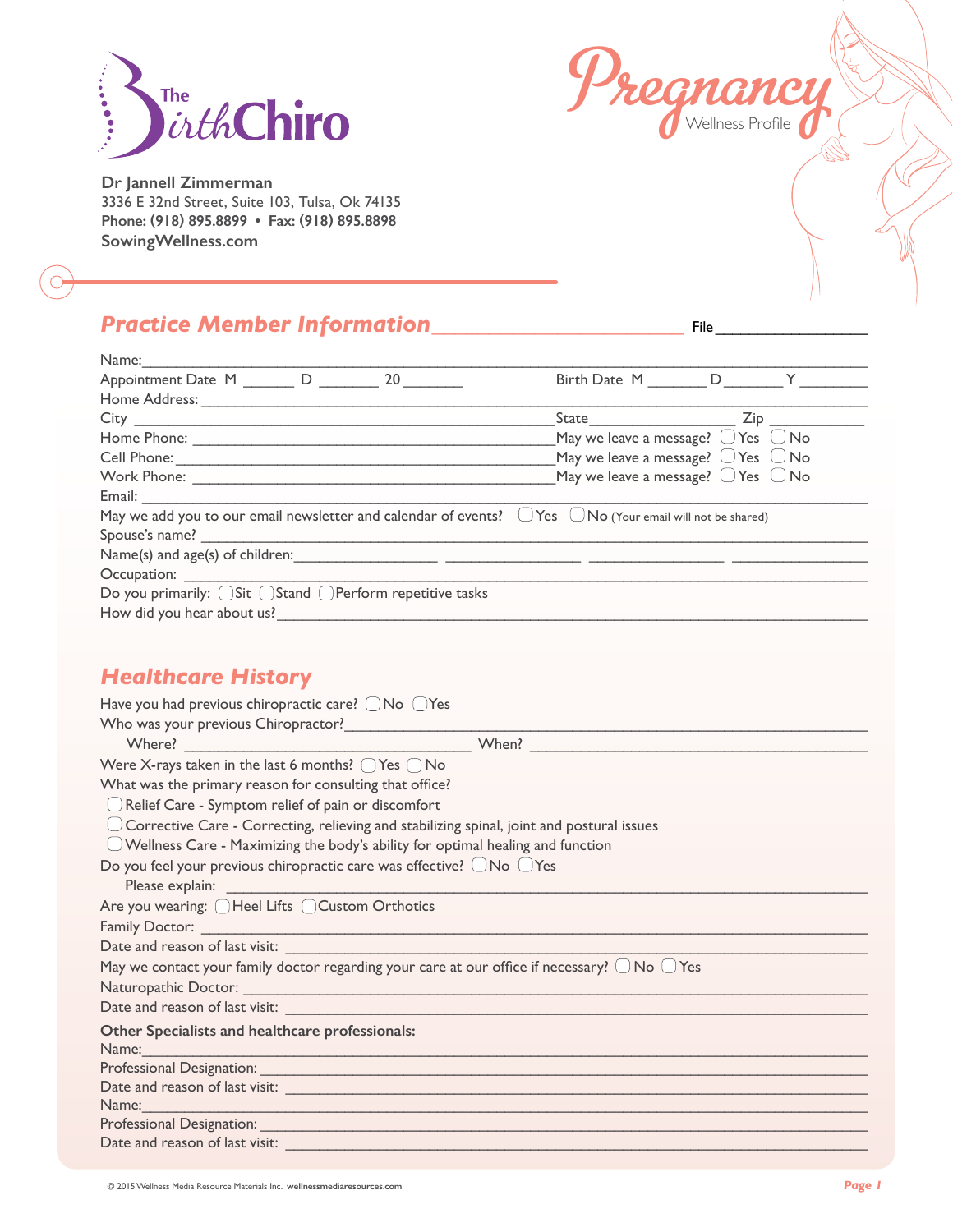



**Dr Jannell Zimmerman** 3336 E 32nd Street, Suite 103, Tulsa, Ok 74135 **Phone: (918) 895.8899 • Fax: (918) 895.8898 SowingWellness.com**

# *Practice Member Information\_\_\_\_\_\_\_\_\_\_\_\_\_\_\_\_\_\_\_\_\_\_* File \_\_\_\_\_\_\_\_\_\_\_\_\_\_\_\_\_\_

| Name:                                                                                                                                                                                                                          |                                                                            |  |  |  |  |
|--------------------------------------------------------------------------------------------------------------------------------------------------------------------------------------------------------------------------------|----------------------------------------------------------------------------|--|--|--|--|
| Appointment Date M _______ D _______ 20                                                                                                                                                                                        | Birth Date M D Y                                                           |  |  |  |  |
| Home Address: North Management of the Management of the Management of the Management of the Management of the Management of the Management of the Management of the Management of the Management of the Management of the Mana |                                                                            |  |  |  |  |
|                                                                                                                                                                                                                                | State<br>$Zip$ <sub>____</sub>                                             |  |  |  |  |
|                                                                                                                                                                                                                                | May we leave a message? $\overline{\bigcirc}$ Yes $\overline{\bigcirc}$ No |  |  |  |  |
| Cell Phone: <u>Call Communication</u>                                                                                                                                                                                          | May we leave a message? $\bigcirc$ Yes $\bigcirc$ No                       |  |  |  |  |
|                                                                                                                                                                                                                                | May we leave a message? $\bigcirc$ Yes $\bigcirc$ No                       |  |  |  |  |
|                                                                                                                                                                                                                                |                                                                            |  |  |  |  |
| May we add you to our email newsletter and calendar of events? $\Box$ Yes $\Box$ No (Your email will not be shared)                                                                                                            |                                                                            |  |  |  |  |
| Spouse's name?                                                                                                                                                                                                                 |                                                                            |  |  |  |  |
|                                                                                                                                                                                                                                |                                                                            |  |  |  |  |
|                                                                                                                                                                                                                                |                                                                            |  |  |  |  |
| Do you primarily: OSit OStand OPerform repetitive tasks                                                                                                                                                                        |                                                                            |  |  |  |  |
| How did you hear about us?                                                                                                                                                                                                     |                                                                            |  |  |  |  |

#### *Healthcare History*

| Have you had previous chiropractic care? $\bigcirc$ No $\bigcirc$ Yes                                                                                                                                                          |  |  |  |  |
|--------------------------------------------------------------------------------------------------------------------------------------------------------------------------------------------------------------------------------|--|--|--|--|
|                                                                                                                                                                                                                                |  |  |  |  |
|                                                                                                                                                                                                                                |  |  |  |  |
| Were X-rays taken in the last 6 months? $\bigcap$ Yes $\bigcap$ No                                                                                                                                                             |  |  |  |  |
| What was the primary reason for consulting that office?                                                                                                                                                                        |  |  |  |  |
| Relief Care - Symptom relief of pain or discomfort                                                                                                                                                                             |  |  |  |  |
| $\bigcup$ Corrective Care - Correcting, relieving and stabilizing spinal, joint and postural issues                                                                                                                            |  |  |  |  |
| $\bigcirc$ Wellness Care - Maximizing the body's ability for optimal healing and function                                                                                                                                      |  |  |  |  |
| Do you feel your previous chiropractic care was effective? ONo OYes                                                                                                                                                            |  |  |  |  |
|                                                                                                                                                                                                                                |  |  |  |  |
| Are you wearing: OHeel Lifts OCustom Orthotics                                                                                                                                                                                 |  |  |  |  |
|                                                                                                                                                                                                                                |  |  |  |  |
|                                                                                                                                                                                                                                |  |  |  |  |
| May we contact your family doctor regarding your care at our office if necessary? $\Box$ No $\Box$ Yes                                                                                                                         |  |  |  |  |
|                                                                                                                                                                                                                                |  |  |  |  |
|                                                                                                                                                                                                                                |  |  |  |  |
| Other Specialists and healthcare professionals:                                                                                                                                                                                |  |  |  |  |
| Name:                                                                                                                                                                                                                          |  |  |  |  |
|                                                                                                                                                                                                                                |  |  |  |  |
|                                                                                                                                                                                                                                |  |  |  |  |
| Name: Name and the state of the state of the state of the state of the state of the state of the state of the state of the state of the state of the state of the state of the state of the state of the state of the state of |  |  |  |  |
|                                                                                                                                                                                                                                |  |  |  |  |
|                                                                                                                                                                                                                                |  |  |  |  |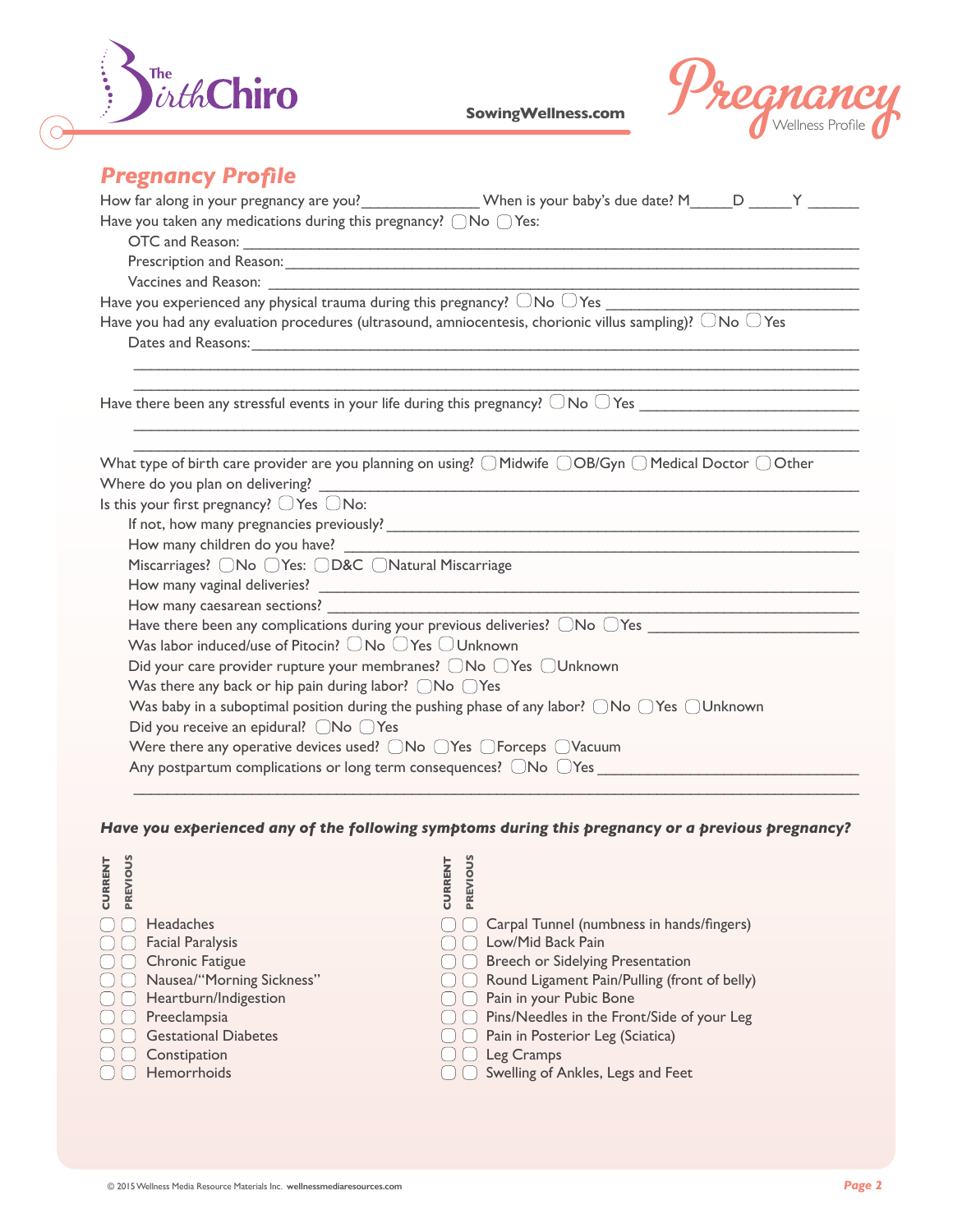



# *Pregnancy Profile*

| Have you taken any medications during this pregnancy? $\bigcirc$ No $\bigcirc$ Yes:                                                                                                                                           |
|-------------------------------------------------------------------------------------------------------------------------------------------------------------------------------------------------------------------------------|
|                                                                                                                                                                                                                               |
|                                                                                                                                                                                                                               |
|                                                                                                                                                                                                                               |
|                                                                                                                                                                                                                               |
| Have you had any evaluation procedures (ultrasound, amniocentesis, chorionic villus sampling)? $\Box$ No $\Box$ Yes                                                                                                           |
| Dates and Reasons: 1988 and 2008 and 2008 and 2008 and 2008 and 2008 and 2008 and 2008 and 2008 and 2008 and 2008 and 2008 and 2008 and 2008 and 2008 and 2008 and 2008 and 2008 and 2008 and 2008 and 2008 and 2008 and 2008 |
|                                                                                                                                                                                                                               |
|                                                                                                                                                                                                                               |
|                                                                                                                                                                                                                               |
| What type of birth care provider are you planning on using? $\bigcirc$ Midwife $\bigcirc$ OB/Gyn $\bigcirc$ Medical Doctor $\bigcirc$ Other                                                                                   |
|                                                                                                                                                                                                                               |
| Is this your first pregnancy? $\bigcirc$ Yes $\bigcirc$ No:                                                                                                                                                                   |
|                                                                                                                                                                                                                               |
|                                                                                                                                                                                                                               |
| Miscarriages? UNo UYes: UD&C UNatural Miscarriage                                                                                                                                                                             |
|                                                                                                                                                                                                                               |
| the control of the control of the control of the control of the control of the control of the control of the control of the control of the control of the control of the control of the control of the control of the control |
|                                                                                                                                                                                                                               |
| Was labor induced/use of Pitocin? $\Box$ No $\Box$ Yes $\Box$ Unknown                                                                                                                                                         |
| Did your care provider rupture your membranes? ONo OYes OUnknown                                                                                                                                                              |
| Was there any back or hip pain during labor? $\bigcirc$ No $\bigcirc$ Yes                                                                                                                                                     |
| Was baby in a suboptimal position during the pushing phase of any labor? $\bigcirc$ No $\bigcirc$ Yes $\bigcirc$ Unknown                                                                                                      |
| Did you receive an epidural? ONo OYes                                                                                                                                                                                         |
|                                                                                                                                                                                                                               |
| Any postpartum complications or long term consequences? $\Box$ No $\Box$ Yes                                                                                                                                                  |
|                                                                                                                                                                                                                               |

*Have you experienced any of the following symptoms during this pregnancy or a previous pregnancy?*

| PREVIOUS<br><b>CURRENT</b> |                                                                          | PREVIOUS<br><b>CURRENT</b> |                                              |        |
|----------------------------|--------------------------------------------------------------------------|----------------------------|----------------------------------------------|--------|
|                            | <b>Headaches</b>                                                         |                            | Carpal Tunnel (numbness in hands/fingers)    |        |
|                            | <b>Facial Paralysis</b>                                                  |                            | Low/Mid Back Pain                            |        |
|                            | Chronic Fatigue                                                          |                            | Breech or Sidelying Presentation             |        |
|                            | Nausea/"Morning Sickness"                                                |                            | Round Ligament Pain/Pulling (front of belly) |        |
|                            | Heartburn/Indigestion                                                    |                            | Pain in your Pubic Bone                      |        |
|                            | Preeclampsia                                                             |                            | Pins/Needles in the Front/Side of your Leg   |        |
|                            | Gestational Diabetes                                                     |                            | Pain in Posterior Leg (Sciatica)             |        |
|                            | Constipation                                                             |                            | Leg Cramps                                   |        |
|                            | Hemorrhoids                                                              |                            | Swelling of Ankles, Legs and Feet            |        |
|                            |                                                                          |                            |                                              |        |
|                            |                                                                          |                            |                                              |        |
|                            |                                                                          |                            |                                              |        |
|                            |                                                                          |                            |                                              |        |
|                            | © 2015 Wellness Media Resource Materials Inc. wellnessmediaresources.com |                            |                                              | Page 2 |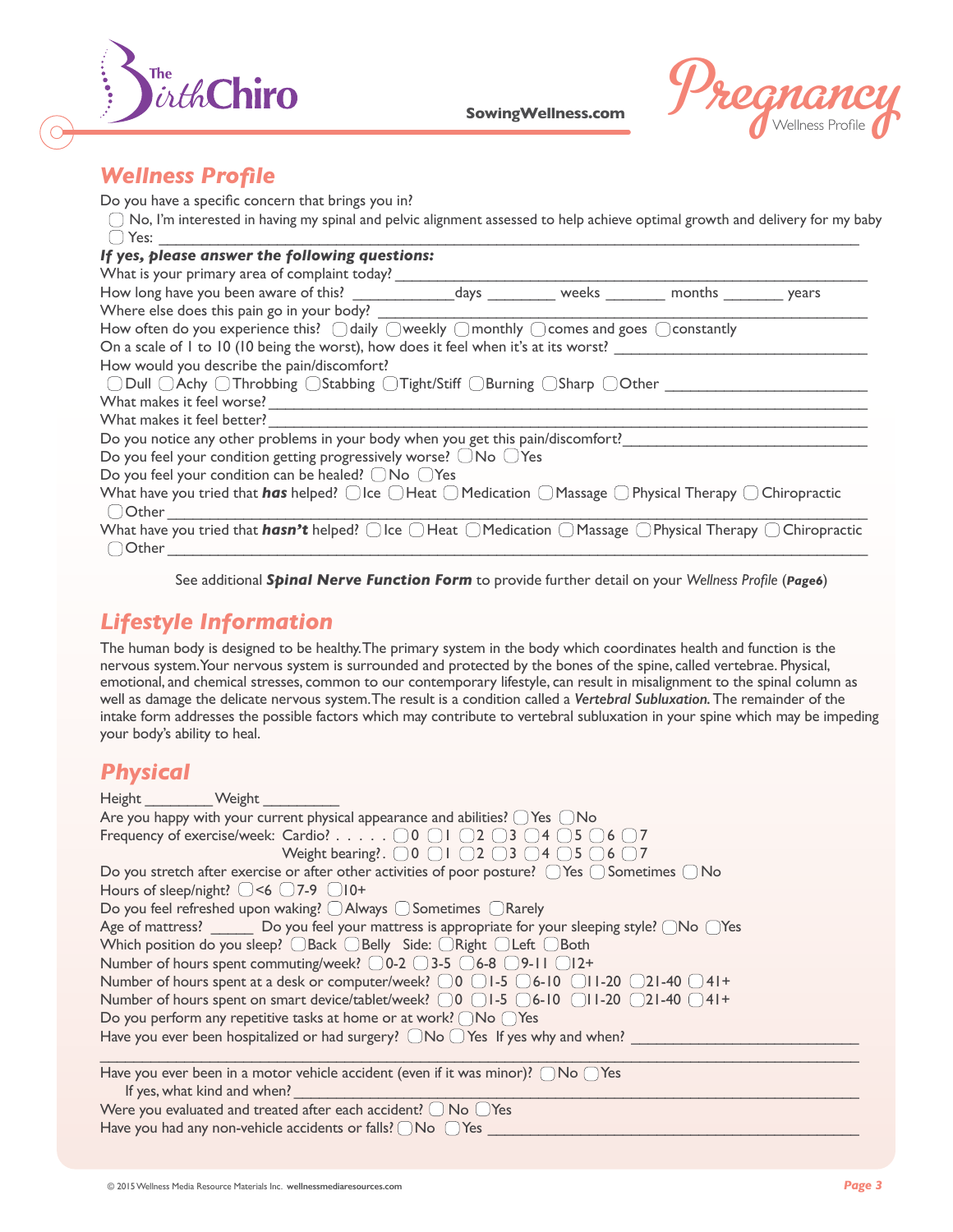



# *Wellness Profile*

Do you have a specific concern that brings you in?

 $\bigcirc$  No, I'm interested in having my spinal and pelvic alignment assessed to help achieve optimal growth and delivery for my baby  $\bigcirc$  Yes:  ${\tt Yes:}\quad \rule{2cm}{2.5cm}$ 

| If yes, please answer the following questions:                                                                                                                             |  |  |  |  |
|----------------------------------------------------------------------------------------------------------------------------------------------------------------------------|--|--|--|--|
| What is your primary area of complaint today?                                                                                                                              |  |  |  |  |
| How long have you been aware of this? The days the weeks weeks months years                                                                                                |  |  |  |  |
| Where else does this pain go in your body?                                                                                                                                 |  |  |  |  |
| How often do you experience this? $\bigcirc$ daily $\bigcirc$ weekly $\bigcirc$ monthly $\bigcirc$ comes and goes $\bigcirc$ constantly                                    |  |  |  |  |
| On a scale of 1 to 10 (10 being the worst), how does it feel when it's at its worst?                                                                                       |  |  |  |  |
| How would you describe the pain/discomfort?                                                                                                                                |  |  |  |  |
| $\Box$ Dull $\Box$ Achy $\Box$ Throbbing $\Box$ Stabbing $\Box$ Tight/Stiff $\Box$ Burning $\Box$ Sharp $\Box$ Other                                                       |  |  |  |  |
| What makes it feel worse?                                                                                                                                                  |  |  |  |  |
| What makes it feel better?                                                                                                                                                 |  |  |  |  |
| Do you notice any other problems in your body when you get this pain/discomfort?                                                                                           |  |  |  |  |
| Do you feel your condition getting progressively worse? $\Box$ No $\Box$ Yes                                                                                               |  |  |  |  |
| Do you feel your condition can be healed? $\bigcirc$ No $\bigcirc$ Yes                                                                                                     |  |  |  |  |
| What have you tried that <i>has</i> helped? $\bigcirc$ Ice $\bigcirc$ Heat $\bigcirc$ Medication $\bigcirc$ Massage $\bigcirc$ Physical Therapy $\bigcirc$ Chiropractic    |  |  |  |  |
| ○ Other                                                                                                                                                                    |  |  |  |  |
| What have you tried that <i>hasn't</i> helped? $\bigcirc$ Ice $\bigcirc$ Heat $\bigcirc$ Medication $\bigcirc$ Massage $\bigcirc$ Physical Therapy $\bigcirc$ Chiropractic |  |  |  |  |
| ○ Other                                                                                                                                                                    |  |  |  |  |

See additional *Spinal Nerve Function Form* to provide further detail on your *Wellness Profile* (*Page6*)

# *Lifestyle Information*

The human body is designed to be healthy. The primary system in the body which coordinates health and function is the nervous system. Your nervous system is surrounded and protected by the bones of the spine, called vertebrae. Physical, emotional, and chemical stresses, common to our contemporary lifestyle, can result in misalignment to the spinal column as well as damage the delicate nervous system. The result is a condition called a *Vertebral Subluxation.* The remainder of the intake form addresses the possible factors which may contribute to vertebral subluxation in your spine which may be impeding your body's ability to heal.

#### *Physical*

| Height Weight                                                                                                                                   |
|-------------------------------------------------------------------------------------------------------------------------------------------------|
| Are you happy with your current physical appearance and abilities? $\bigcirc$ Yes $\bigcirc$ No                                                 |
| Frequency of exercise/week: Cardio? $\odot$ 0 $\odot$ 1 $\odot$ 2 $\odot$ 3 $\odot$ 4 $\odot$ 5 $\odot$ 6 $\odot$ 7                             |
| Weight bearing?. $\bigcirc$ 0 $\bigcirc$ 1 $\bigcirc$ 2 $\bigcirc$ 3 $\bigcirc$ 4 $\bigcirc$ 5 $\bigcirc$ 6 $\bigcirc$ 7                        |
| Do you stretch after exercise or after other activities of poor posture? $\bigcirc$ Yes $\bigcirc$ Sometimes $\bigcirc$ No                      |
| Hours of sleep/night? $\bigcirc$ <6 $\bigcirc$ 7-9 $\bigcirc$ 10+                                                                               |
| Do you feel refreshed upon waking? $\bigcirc$ Always $\bigcirc$ Sometimes $\bigcirc$ Rarely                                                     |
| Age of mattress? ________ Do you feel your mattress is appropriate for your sleeping style? $\bigcap$ No $\bigcap$ Yes                          |
| Which position do you sleep? $\bigcirc$ Back $\bigcirc$ Belly Side: $\bigcirc$ Right $\bigcirc$ Left $\bigcirc$ Both                            |
| Number of hours spent commuting/week? $\bigcirc$ 0-2 $\bigcirc$ 3-5 $\bigcirc$ 6-8 $\bigcirc$ 9-11 $\bigcirc$ 12+                               |
| Number of hours spent at a desk or computer/week? $\bigcirc$ 0 $\bigcirc$ 1-5 $\bigcirc$ 6-10 $\bigcirc$ 11-20 $\bigcirc$ 21-40 $\bigcirc$ 41+  |
| Number of hours spent on smart device/tablet/week? $\bigcirc$ 0 $\bigcirc$ 1-5 $\bigcirc$ 6-10 $\bigcirc$ 11-20 $\bigcirc$ 21-40 $\bigcirc$ 41+ |
| Do you perform any repetitive tasks at home or at work? $\bigcap$ No $\bigcap$ Yes                                                              |
| Have you ever been hospitalized or had surgery? $\Box$ No $\Box$ Yes If yes why and when?                                                       |
|                                                                                                                                                 |
| Have you ever been in a motor vehicle accident (even if it was minor)? $\bigcap$ No $\bigcap$ Yes                                               |
| If yes, what kind and when?                                                                                                                     |
| Were you evaluated and treated after each accident? $\bigcirc$ No $\bigcirc$ Yes                                                                |

Have you had any non-vehicle accidents or falls?  $\bigcap$  No  $\bigcap$  Yes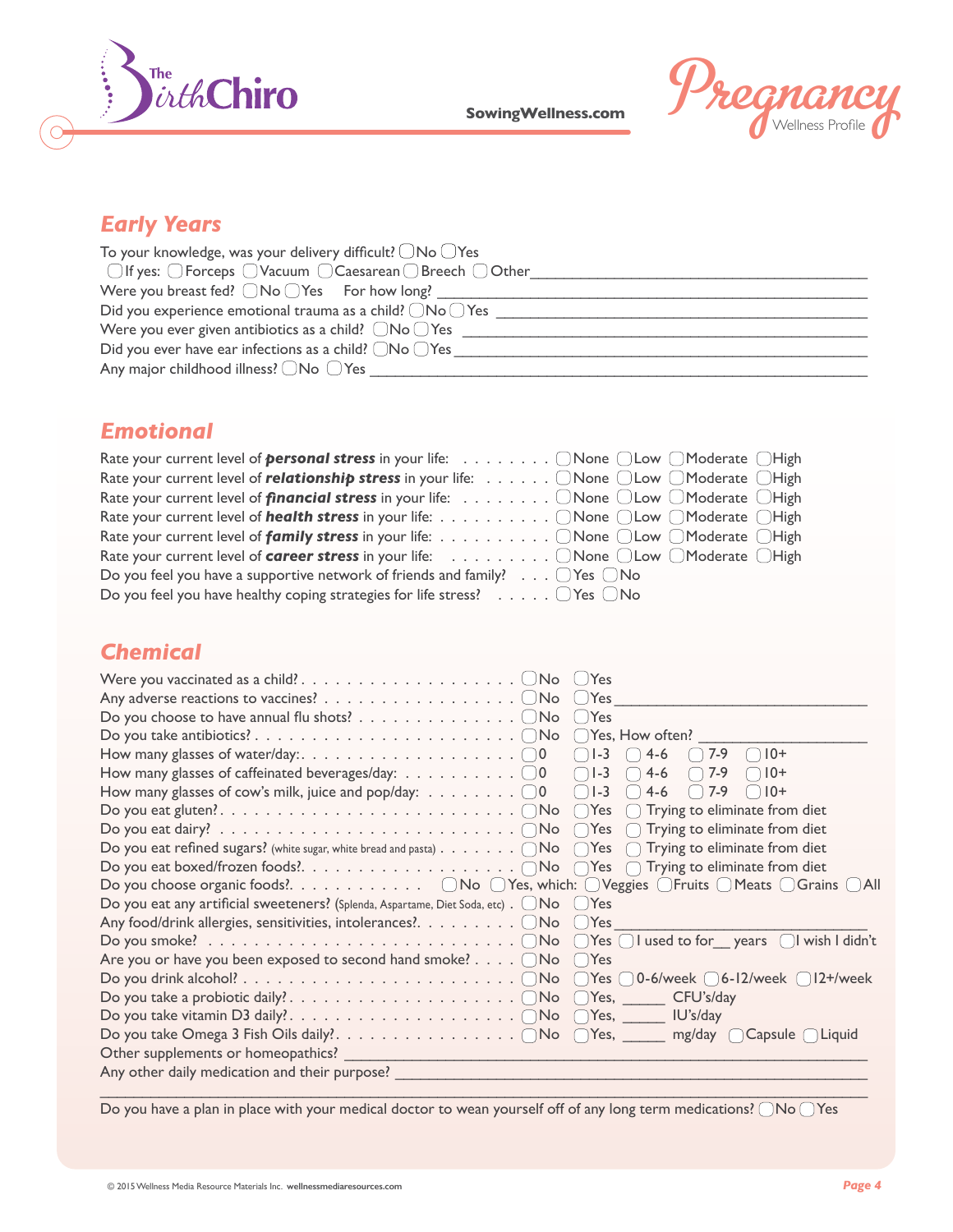



# *Early Years*

| To your knowledge, was your delivery difficult? $\bigcirc$ No $\bigcirc$ Yes            |
|-----------------------------------------------------------------------------------------|
| $\Box$ If yes: $\Box$ Forceps $\Box$ Vacuum $\Box$ Caesarean $\Box$ Breech $\Box$ Other |
| Were you breast fed? $\bigcap$ No $\bigcap$ Yes For how long?                           |
| Did you experience emotional trauma as a child? $\bigcirc$ No $\bigcirc$ Yes            |
| Were you ever given antibiotics as a child? $\Box$ No $\Box$ Yes                        |
| Did you ever have ear infections as a child? $\bigcirc$ No $\bigcirc$ Yes               |
| Any major childhood illness? ONo OYes                                                   |

#### *Emotional*

| Rate your current level of <b>personal stress</b> in your life: O None O Low O Moderate O High                                           |
|------------------------------------------------------------------------------------------------------------------------------------------|
| Rate your current level of <i>relationship stress</i> in your life: $\ldots \ldots \odot$ None $\odot$ Low $\odot$ Moderate $\odot$ High |
| Rate your current level of <i>financial stress</i> in your life: ONone OLow OModerate OHigh                                              |
| Rate your current level of <i>health stress</i> in your life: ONone OLow OModerate OHigh                                                 |
| Rate your current level of <b>family stress</b> in your life: ONone OLow OModerate OHigh                                                 |
| Rate your current level of <b>career stress</b> in your life: ONone OLow OModerate OHigh                                                 |
| Do you feel you have a supportive network of friends and family? $\ldots$ $\Box$ Yes $\Box$ No                                           |
| Do you feel you have healthy coping strategies for life stress? $\ldots \ldots$ $\Box$ Yes $\Box$ No                                     |

# *Chemical*

| Do you choose to have annual flu shots? $\dots \dots \dots \dots \dots$<br>$\bigcup$ Yes                                                                                 |
|--------------------------------------------------------------------------------------------------------------------------------------------------------------------------|
|                                                                                                                                                                          |
| $10+$<br>$4-6$<br>$17-9$                                                                                                                                                 |
| How many glasses of caffeinated beverages/day: $\dots \dots \dots \dots \dots$<br>$\bigcap$ 10+<br>$\bigcap$ 7-9                                                         |
| How many glasses of cow's milk, juice and pop/day: $\dots \dots \dots \dots \dots \dots$<br>$( ) 10 +$<br>$4-6$<br>7-9<br>$\begin{pmatrix} 1 & 1 \\ 1 & 1 \end{pmatrix}$ |
|                                                                                                                                                                          |
|                                                                                                                                                                          |
| Do you eat refined sugars? (white sugar, white bread and pasta) $\ldots \ldots \cap N$ o $\cap Y$ es $\cap$ Trying to eliminate from diet                                |
|                                                                                                                                                                          |
| Do you choose organic foods?. $\Box$ No $\Box$ Yes, which: $\Box$ Veggies $\Box$ Fruits $\Box$ Meats $\Box$ Grains $\Box$ All                                            |
| Do you eat any artificial sweeteners? (Splenda, Aspartame, Diet Soda, etc). $\Box$ No $\Box$ Yes                                                                         |
| Any food/drink allergies, sensitivities, intolerances?. $\Box$ No $\Box$ Yes                                                                                             |
|                                                                                                                                                                          |
| Are you or have you been exposed to second hand smoke? $\bigcirc$ No $\bigcirc$ Yes                                                                                      |
|                                                                                                                                                                          |
|                                                                                                                                                                          |
|                                                                                                                                                                          |
|                                                                                                                                                                          |
| Other supplements or homeopathics?                                                                                                                                       |
| Any other daily medication and their purpose?                                                                                                                            |
|                                                                                                                                                                          |

Do you have a plan in place with your medical doctor to wean yourself off of any long term medications?  $\bigcirc$  No  $\bigcirc$  Yes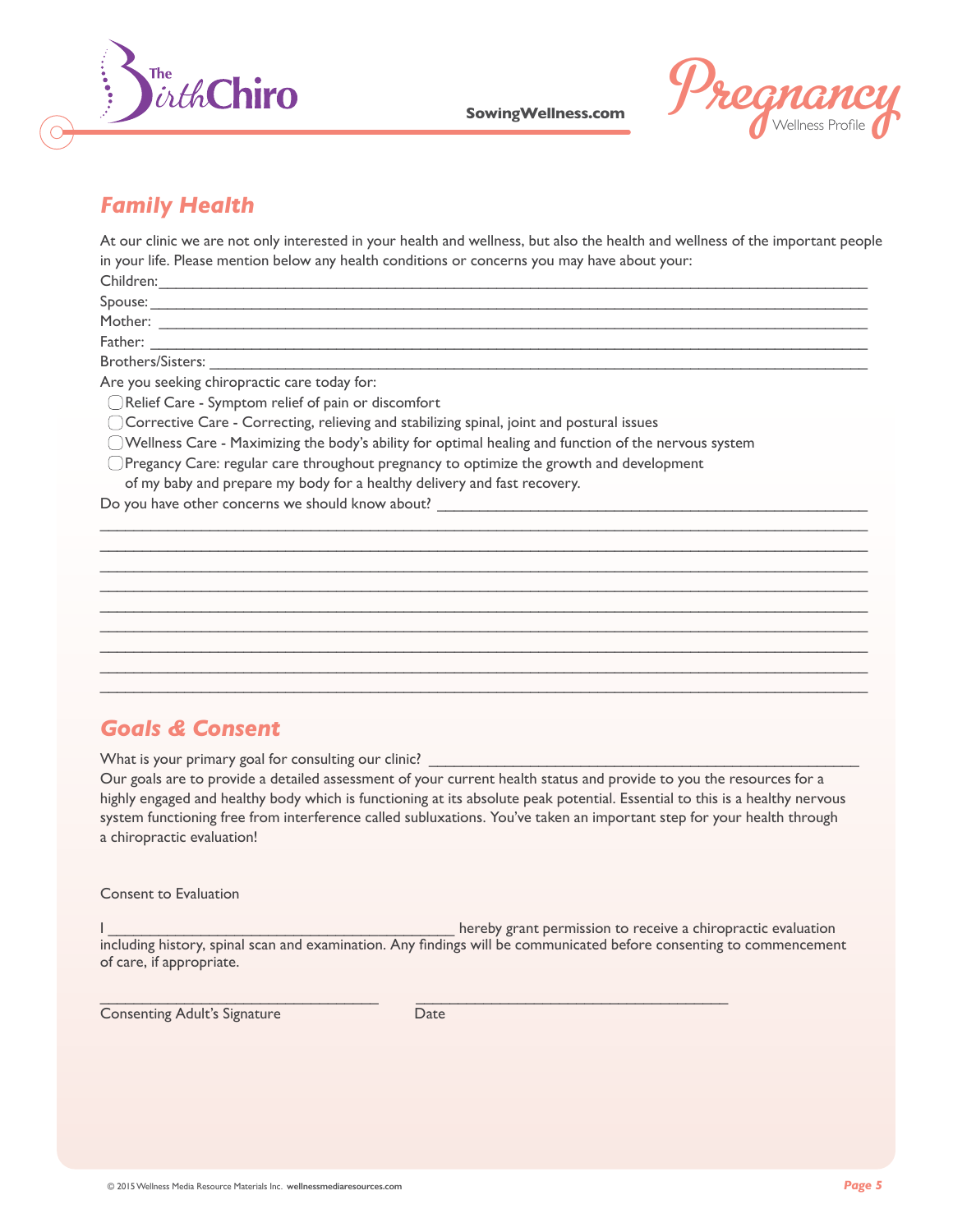



### *Family Health*

At our clinic we are not only interested in your health and wellness, but also the health and wellness of the important people in your life. Please mention below any health conditions or concerns you may have about your:  $Children:$ 

 $\mathcal{L}_\mathcal{L} = \{ \mathcal{L}_\mathcal{L} = \{ \mathcal{L}_\mathcal{L} = \{ \mathcal{L}_\mathcal{L} = \{ \mathcal{L}_\mathcal{L} = \{ \mathcal{L}_\mathcal{L} = \{ \mathcal{L}_\mathcal{L} = \{ \mathcal{L}_\mathcal{L} = \{ \mathcal{L}_\mathcal{L} = \{ \mathcal{L}_\mathcal{L} = \{ \mathcal{L}_\mathcal{L} = \{ \mathcal{L}_\mathcal{L} = \{ \mathcal{L}_\mathcal{L} = \{ \mathcal{L}_\mathcal{L} = \{ \mathcal{L}_\mathcal{$ 

\_\_\_\_\_\_\_\_\_\_\_\_\_\_\_\_\_\_\_\_\_\_\_\_\_\_\_\_\_\_\_\_\_\_\_\_\_\_\_\_\_\_\_\_\_\_\_\_\_\_\_\_\_\_\_\_\_\_\_\_\_\_\_\_\_\_\_\_\_\_\_\_\_\_\_\_\_\_\_\_\_\_\_\_\_\_\_\_\_\_\_  $\mathcal{L}_\mathcal{L} = \mathcal{L}_\mathcal{L} = \mathcal{L}_\mathcal{L} = \mathcal{L}_\mathcal{L} = \mathcal{L}_\mathcal{L} = \mathcal{L}_\mathcal{L} = \mathcal{L}_\mathcal{L} = \mathcal{L}_\mathcal{L} = \mathcal{L}_\mathcal{L} = \mathcal{L}_\mathcal{L} = \mathcal{L}_\mathcal{L} = \mathcal{L}_\mathcal{L} = \mathcal{L}_\mathcal{L} = \mathcal{L}_\mathcal{L} = \mathcal{L}_\mathcal{L} = \mathcal{L}_\mathcal{L} = \mathcal{L}_\mathcal{L}$ 

\_\_\_\_\_\_\_\_\_\_\_\_\_\_\_\_\_\_\_\_\_\_\_\_\_\_\_\_\_\_\_\_\_\_\_\_\_\_\_\_\_\_\_\_\_\_\_\_\_\_\_\_\_\_\_\_\_\_\_\_\_\_\_\_\_\_\_\_\_\_\_\_\_\_\_\_\_\_\_\_\_\_\_\_\_\_\_\_\_\_\_  $\mathcal{L}_\mathcal{L} = \mathcal{L}_\mathcal{L} = \mathcal{L}_\mathcal{L} = \mathcal{L}_\mathcal{L} = \mathcal{L}_\mathcal{L} = \mathcal{L}_\mathcal{L} = \mathcal{L}_\mathcal{L} = \mathcal{L}_\mathcal{L} = \mathcal{L}_\mathcal{L} = \mathcal{L}_\mathcal{L} = \mathcal{L}_\mathcal{L} = \mathcal{L}_\mathcal{L} = \mathcal{L}_\mathcal{L} = \mathcal{L}_\mathcal{L} = \mathcal{L}_\mathcal{L} = \mathcal{L}_\mathcal{L} = \mathcal{L}_\mathcal{L}$ 

\_\_\_\_\_\_\_\_\_\_\_\_\_\_\_\_\_\_\_\_\_\_\_\_\_\_\_\_\_\_\_\_\_\_\_\_\_\_\_\_\_\_\_\_\_\_\_\_\_\_\_\_\_\_\_\_\_\_\_\_\_\_\_\_\_\_\_\_\_\_\_\_\_\_\_\_\_\_\_\_\_\_\_\_\_\_\_\_\_\_\_

 $S_{\text{pouse:}}$ 

 ${\sf Mother:} \ \_\_\_\_$ 

Father: \_\_\_\_\_\_\_\_\_\_\_\_\_\_\_\_\_\_\_\_\_\_\_\_\_\_\_\_\_\_\_\_\_\_\_\_\_\_\_\_\_\_\_\_\_\_\_\_\_\_\_\_\_\_\_\_\_\_\_\_\_\_\_\_\_\_\_\_\_\_\_\_\_\_\_\_\_\_\_\_\_\_\_\_\_

Brothers/Sisters:

Are you seeking chiropractic care today for:

Relief Care - Symptom relief of pain or discomfort

Corrective Care - Correcting, relieving and stabilizing spinal, joint and postural issues

Wellness Care - Maximizing the body's ability for optimal healing and function of the nervous system

Pregancy Care: regular care throughout pregnancy to optimize the growth and development

of my baby and prepare my body for a healthy delivery and fast recovery.

Do you have other concerns we should know about?

#### *Goals & Consent*

What is your primary goal for consulting our clinic?

Our goals are to provide a detailed assessment of your current health status and provide to you the resources for a highly engaged and healthy body which is functioning at its absolute peak potential. Essential to this is a healthy nervous system functioning free from interference called subluxations. You've taken an important step for your health through a chiropractic evaluation!

Consent to Evaluation

I hereby grant permission to receive a chiropractic evaluation including history, spinal scan and examination. Any findings will be communicated before consenting to commencement of care, if appropriate.

**Consenting Adult's Signature Consenting Adult's Signature** 

 $\_$  , and the set of the set of the set of the set of the set of the set of the set of the set of the set of the set of the set of the set of the set of the set of the set of the set of the set of the set of the set of th